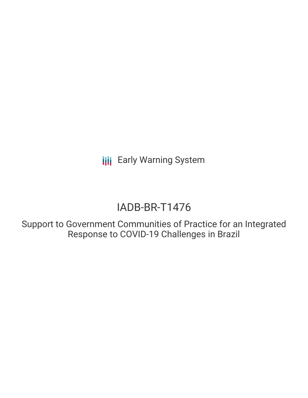**III** Early Warning System

# IADB-BR-T1476

Support to Government Communities of Practice for an Integrated Response to COVID-19 Challenges in Brazil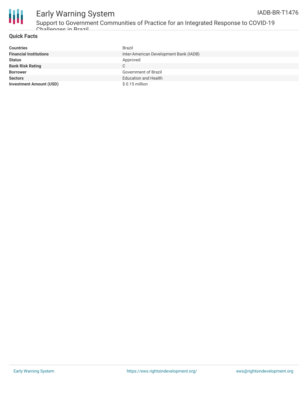

### Early Warning System IADB-BR-T1476

### **Quick Facts**

| <b>Countries</b>               | Brazil                                 |
|--------------------------------|----------------------------------------|
| <b>Financial Institutions</b>  | Inter-American Development Bank (IADB) |
| <b>Status</b>                  | Approved                               |
| <b>Bank Risk Rating</b>        | C.                                     |
| <b>Borrower</b>                | <b>Government of Brazil</b>            |
| <b>Sectors</b>                 | <b>Education and Health</b>            |
| <b>Investment Amount (USD)</b> | $$0.15$ million                        |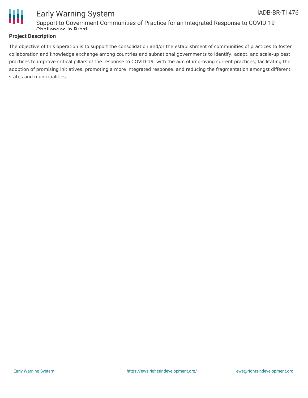

#### Early Warning System Support to Government Communities of Practice for an Integrated Response to COVID-19 Challenges in Brazil IADB-BR-T1476

### **Project Description**

The objective of this operation is to support the consolidation and/or the establishment of communities of practices to foster collaboration and knowledge exchange among countries and subnational governments to identify, adapt, and scale-up best practices to improve critical pillars of the response to COVID-19, with the aim of improving current practices, facilitating the adoption of promising initiatives, promoting a more integrated response, and reducing the fragmentation amongst different states and municipalities.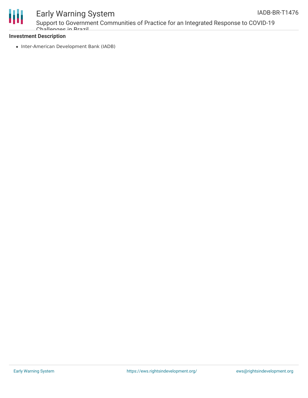

# Early Warning System

Support to Government Communities of Practice for an Integrated Response to COVID-19 Challangae in Brazil

### **Investment Description**

• Inter-American Development Bank (IADB)